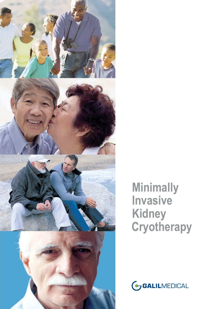

**Minimally Invasive Kidney Cryotherapy**

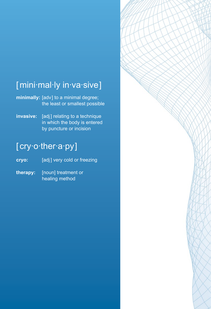# [mini·mal·ly in·va·sive]

**minimally:** [adv] to a minimal degree; the least or smallest possible

**invasive:** [adj] relating to a technique in which the body is entered by puncture or incision

# [ cry·o·ther·a·py]

cryo: **[adj]** very cold or freezing

**therapy:** [noun] treatment or healing method

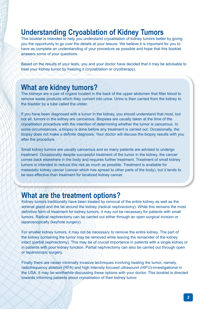# **Understanding Cryoablation of Kidney Tumors**

This booklet is intended to help you understand cryoablation of kidney tumors better by giving you the opportunity to go over the details at your leisure. We believe it is important for you to have as complete an understanding of your procedure as possible and hope that this booklet answers some of your questions.

Based on the results of your tests, you and your doctor have decided that it may be advisable to treat your kidney tumor by freezing it (cryoablation or cryotherapy).

### **What are kidney tumors?**

The kidneys are a pair of organs located in the back of the upper abdomen that filter blood to remove waste products which they convert into urine. Urine is then carried from the kidney to the bladder by a tube called the ureter.

If you have been diagnosed with a tumor in the kidney, you should understand that most, but not all, tumors in the kidney are cancerous. Biopsies are usually taken at the time of the cryoablation procedure with the intention of determining whether the tumor is cancerous. In some circumstances, a biopsy is done before any treatment is carried out. Occasionally, the biopsy does not make a definite diagnosis. Your doctor will discuss the biopsy results with you after the procedure.

Small kidney tumors are usually cancerous and so many patients are advised to undergo treatment. Occasionally despite successful treatment of the tumor in the kidney, the cancer comes back elsewhere in the body and requires further treatment. Treatment of small kidney tumors is intended to reduce this risk as much as possible. Treatment is available for metastatic kidney cancer (cancer which has spread to other parts of the body), but it tends to be less effective than treatment for localized kidney cancer.

# **What are the treatment options?**

Kidney tumors traditionally have been treated by removal of the entire kidney as well as the adrenal gland and the fat around the kidney (radical nephrectomy). While this remains the most definitive form of treatment for kidney tumors, it may not be necessary for patients with small tumors. Radical nephrectomy can be carried out either through an open surgical incision or laparoscopically (keyhole surgery).

For smaller kidney tumors, it may not be necessary to remove the entire kidney. The part of the kidney containing the tumor may be removed while leaving the remainder of the kidney intact (partial nephrectomy). This may be of crucial importance in patients with a single kidney or in patients with poor kidney function. Partial nephrectomy can also be carried out through open or laparoscopic surgery.

Finally there are newer minimally invasive techniques involving heating the tumor, namely, radiofrequency ablation (RFA) and high intensity focused ultrasound (HIFU)-investigational in the USA. It may be worthwhile discussing these options with your doctor. This booklet is directed towards informing patients about cryoablation of their kidney tumor.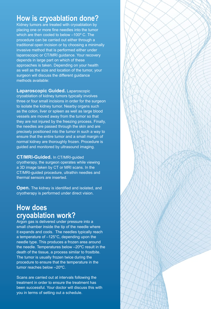# **How is cryoablation done?**

Kidney tumors are treated with cryoablation by placing one or more fine needles into the tumor which are then cooled to below –100º C. The procedure can be carried out either through a traditional open incision or by choosing a minimally invasive method that is performed either under laparoscopic or CT/MRI guidance. Your recovery depends in large part on which of these approaches is taken. Depending on your health as well as the size and location of the tumor, your surgeon will discuss the different guidance methods available:

**Laparoscopic Guided.** Laparoscopic cryoablation of kidney tumors typically involves three or four small incisions in order for the surgeon to isolate the kidney tumor. Nearby organs such as the colon, liver or spleen as well as large blood vessels are moved away from the tumor so that they are not injured by the freezing process. Finally, the needles are passed through the skin and are precisely positioned into the tumor in such a way to ensure that the entire tumor and a small margin of normal kidney are thoroughly frozen. Procedure is guided and monitored by ultrasound imaging.

**CT/MRI-Guided.** In CT/MRI-guided cryotherapy, the surgeon operates while viewing a 3D image taken by CT or MRI scans. In the CT/MRI-guided procedure, ultrathin needles and thermal sensors are inserted.

**Open.** The kidney is identified and isolated, and cryotherapy is performed under direct vision.

# **How does cryoablation work?**

Argon gas is delivered under pressure into a small chamber inside the tip of the needle where it expands and cools. The needles typically reach a temperature of –125°C, depending upon the needle type. This produces a frozen area around the needle. Temperatures below –20ºC result in the death of the tissue, a process similar to frostbite. The tumor is usually frozen twice during the procedure to ensure that the temperature in the tumor reaches below –20ºC.

Scans are carried out at intervals following the treatment in order to ensure the treatment has been successful. Your doctor will discuss this with you in terms of setting out a schedule.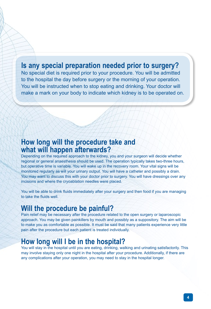# **Is any special preparation needed prior to surgery?**

No special diet is required prior to your procedure. You will be admitted to the hospital the day before surgery or the morning of your operation. You will be instructed when to stop eating and drinking. Your doctor will make a mark on your body to indicate which kidney is to be operated on.

### **How long will the procedure take and what will happen afterwards?**

Depending on the required approach to the kidney, you and your surgeon will decide whether regional or general anaesthesia should be used. The operation typically takes two-three hours, but operative time is variable. You will wake up in the recovery room. Your vital signs will be monitored regularly as will your urinary output. You will have a catheter and possibly a drain. You may want to discuss this with your doctor prior to surgery. You will have dressings over any incisions and where the cryoablation needles were placed.

You will be able to drink fluids immediately after your surgery and then food if you are managing to take the fluids well.

### **Will the procedure be painful?**

Pain relief may be necessary after the procedure related to the open surgery or laparoscopic approach. You may be given painkillers by mouth and possibly as a suppository. The aim will be to make you as comfortable as possible. It must be said that many patients experience very little pain after the procedure but each patient is treated individually.

# **How long will I be in the hospital?**

You will stay in the hospital until you are eating, drinking, walking and urinating satisfactorily. This may involve staying only one night in the hospital after your procedure. Additionally, if there are any complications after your operation, you may need to stay in the hospital longer.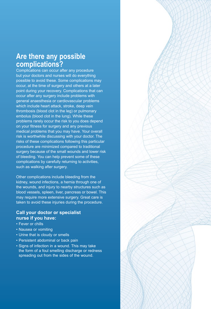### **Are there any possible complications?**

Complications can occur after any procedure but your doctors and nurses will do everything possible to avoid these. Some complications may occur, at the time of surgery and others at a later point during your recovery. Complications that can occur after any surgery include problems with general anaesthesia or cardiovascular problems which include heart attack, stroke, deep vein thrombosis (blood clot in the leg) or pulmonary embolus (blood clot in the lung). While these problems rarely occur the risk to you does depend on your fitness for surgery and any previous medical problems that you may have. Your overall risk is worthwhile discussing with your doctor. The risks of these complications following this particular procedure are minimized compared to traditional surgery because of the small wounds and lower risk of bleeding. You can help prevent some of these complications by carefully returning to activities, such as walking after surgery.

Other complications include bleeding from the kidney, wound infections, a hernia through one of the wounds, and injury to nearby structures such as blood vessels, spleen, liver, pancreas or bowel. This may require more extensive surgery. Great care is taken to avoid these injuries during the procedure.

#### **Call your doctor or specialist nurse if you have:**

- Fever or chills
- Nausea or vomiting
- Urine that is cloudy or smells
- Persistent abdominal or back pain
- Signs of infection in a wound. This may take the form of a foul smelling discharge or redness spreading out from the sides of the wound.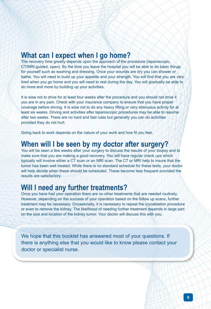# **What can I expect when I go home?**

The recovery time greatly depends upon the approach of the procedure (laparoscopic, CT/MRI-guided, open). By the time you leave the hospital you will be able to do basic things for yourself such as washing and dressing. Once your wounds are dry you can shower or bathe. You will need to build up your appetite and your strength. You will find that you are very tired when you go home and you will need to rest during the day. You will gradually be able to do more and more by building up your activities.

It is wise not to drive for at least four weeks after the procedure and you should not drive if you are in any pain. Check with your insurance company to ensure that you have proper coverage before driving. It is wise not to do any heavy lifting or very strenuous activity for at least six weeks. Driving and activities after laparoscopic procedures may be able to resume after two weeks. There are no hard and fast rules but generally you can do activities provided they do not hurt.

Going back to work depends on the nature of your work and how fit you feel.

#### **When will I be seen by my doctor after surgery?**

You will be seen a few weeks after your surgery to discuss the results of your biopsy and to make sure that you are making a good recovery. You will have regular check ups which typically will involve either a CT scan or an MRI scan. The CT or MRI help to insure that the tumor has been well treated. While there is no standard schedule for these tests, your doctor will help decide when these should be scheduled. These become less frequent provided the results are satisfactory.

### **Will I need any further treatments?**

Once you have had your operation there are no other treatments that are needed routinely. However, depending on the success of your operation based on the follow up scans, further treatment may be necessary. Occasionally, it is necessary to repeat the cryoablation procedure or even to remove the kidney. The likelihood of needing further treatment depends in large part on the size and location of the kidney tumor. Your doctor will discuss this with you.

We hope that this booklet has answered most of your questions. If there is anything else that you would like to know please contact your doctor or specialist nurse.